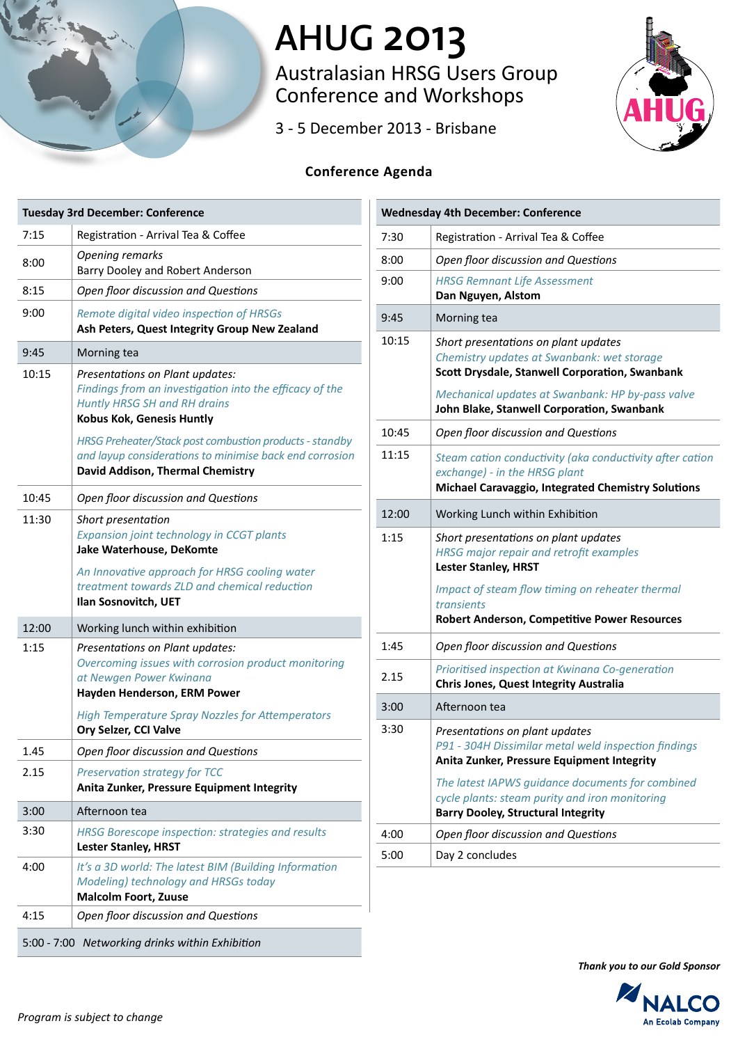

# **AHUG 2013**

Australasian HRSG Users Group Conference and Workshops

3 - 5 December 2013 - Brisbane



## **Conference Agenda**

|       | <b>Tuesday 3rd December: Conference</b>                                                                                                                                                                                              |
|-------|--------------------------------------------------------------------------------------------------------------------------------------------------------------------------------------------------------------------------------------|
| 7:15  | Registration - Arrival Tea & Coffee                                                                                                                                                                                                  |
| 8:00  | Opening remarks<br>Barry Dooley and Robert Anderson                                                                                                                                                                                  |
| 8:15  | Open floor discussion and Questions                                                                                                                                                                                                  |
| 9:00  | Remote digital video inspection of HRSGs<br>Ash Peters, Quest Integrity Group New Zealand                                                                                                                                            |
| 9:45  | Morning tea                                                                                                                                                                                                                          |
| 10:15 | Presentations on Plant updates:<br>Findings from an investigation into the efficacy of the<br><b>Huntly HRSG SH and RH drains</b><br>Kobus Kok, Genesis Huntly                                                                       |
|       | HRSG Preheater/Stack post combustion products - standby<br>and layup considerations to minimise back end corrosion<br>David Addison, Thermal Chemistry                                                                               |
| 10:45 | Open floor discussion and Questions                                                                                                                                                                                                  |
| 11:30 | Short presentation<br>Expansion joint technology in CCGT plants<br>Jake Waterhouse, DeKomte<br>An Innovative approach for HRSG cooling water                                                                                         |
|       | treatment towards ZLD and chemical reduction<br>Ilan Sosnovitch, UET                                                                                                                                                                 |
| 12:00 | Working lunch within exhibition                                                                                                                                                                                                      |
| 1:15  | Presentations on Plant updates:<br>Overcoming issues with corrosion product monitoring<br>at Newgen Power Kwinana<br>Hayden Henderson, ERM Power<br><b>High Temperature Spray Nozzles for Attemperators</b><br>Ory Selzer, CCI Valve |
| 1.45  | Open floor discussion and Questions                                                                                                                                                                                                  |
| 2.15  | Preservation strategy for TCC<br>Anita Zunker, Pressure Equipment Integrity                                                                                                                                                          |
| 3:00  | Afternoon tea                                                                                                                                                                                                                        |
| 3:30  | HRSG Borescope inspection: strategies and results<br><b>Lester Stanley, HRST</b>                                                                                                                                                     |
| 4:00  | It's a 3D world: The latest BIM (Building Information<br>Modeling) technology and HRSGs today<br><b>Malcolm Foort, Zuuse</b>                                                                                                         |
| 4:15  | Open floor discussion and Questions                                                                                                                                                                                                  |
|       | 5:00 - 7:00 Networking drinks within Exhibition                                                                                                                                                                                      |

| <b>Wednesday 4th December: Conference</b> |                                                                                                                                                 |  |
|-------------------------------------------|-------------------------------------------------------------------------------------------------------------------------------------------------|--|
| 7:30                                      | Registration - Arrival Tea & Coffee                                                                                                             |  |
| 8:00                                      | Open floor discussion and Questions                                                                                                             |  |
| 9:00                                      | <b>HRSG Remnant Life Assessment</b><br>Dan Nguyen, Alstom                                                                                       |  |
| 9:45                                      | Morning tea                                                                                                                                     |  |
| 10:15                                     | Short presentations on plant updates<br>Chemistry updates at Swanbank: wet storage<br>Scott Drysdale, Stanwell Corporation, Swanbank            |  |
|                                           | Mechanical updates at Swanbank: HP by-pass valve<br>John Blake, Stanwell Corporation, Swanbank                                                  |  |
| 10:45                                     | Open floor discussion and Questions                                                                                                             |  |
| 11:15                                     | Steam cation conductivity (aka conductivity after cation<br>exchange) - in the HRSG plant<br>Michael Caravaggio, Integrated Chemistry Solutions |  |
| 12:00                                     | Working Lunch within Exhibition                                                                                                                 |  |
| 1:15                                      | Short presentations on plant updates<br><b>HRSG major repair and retrofit examples</b><br><b>Lester Stanley, HRST</b>                           |  |
|                                           | Impact of steam flow timing on reheater thermal<br>transients<br><b>Robert Anderson, Competitive Power Resources</b>                            |  |
| 1:45                                      | Open floor discussion and Questions                                                                                                             |  |
| 2.15                                      | Prioritised inspection at Kwinana Co-generation<br>Chris Jones, Quest Integrity Australia                                                       |  |
| 3:00                                      | Afternoon tea                                                                                                                                   |  |
| 3:30                                      | Presentations on plant updates<br>P91 - 304H Dissimilar metal weld inspection findings<br>Anita Zunker, Pressure Equipment Integrity            |  |
|                                           | The latest IAPWS quidance documents for combined<br>cycle plants: steam purity and iron monitoring<br><b>Barry Dooley, Structural Integrity</b> |  |
| 4:00                                      | Open floor discussion and Questions                                                                                                             |  |
| 5:00                                      | Day 2 concludes                                                                                                                                 |  |

*Thank you to our Gold Sponsor*